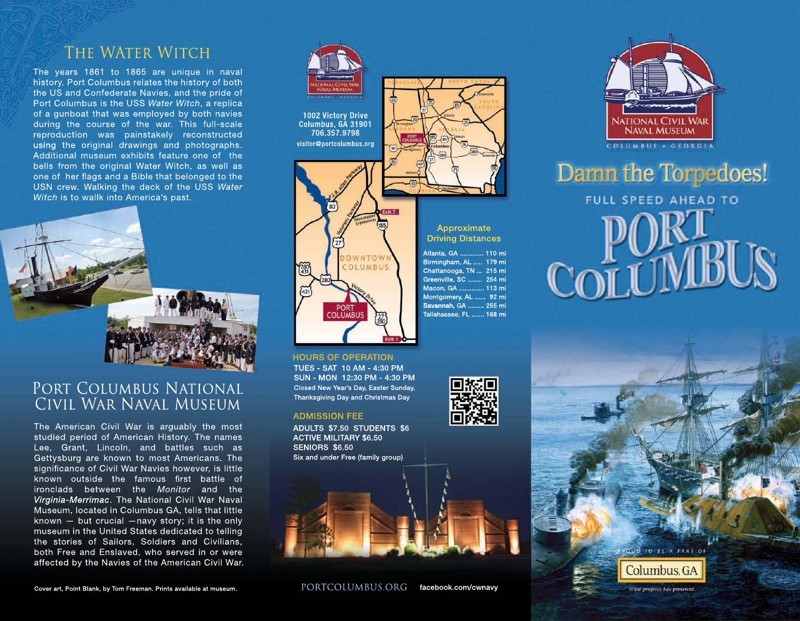# THE WATER WITCH

The years 1861 to 1865 are unique in naval history. Port Columbus relates the history of both the US and Confederate Navies, and the pride of Port Columbus is the USS Water Witch, a replica of a gunboat that was employed by both navies during the course of the war. This full-scale reproduction was painstakely reconstructed using the original drawings and photographs. Additional museum exhibits feature one of the bells from the original Water Witch, as well as one of her flags and a Bible that belonged to the USN crew. Walking the deck of the USS Water Witch is to wallk into America's past.



# PORT COLUMBUS NATIONAL Civil War Naval Museum

The American Civil War is arguably the most studied period of American History. The names Lee, Grant, Lincoln, and battles such as Getty sburg are known to most Americans. The significance of Civil War Navies however, is little known outside the famous first battle of ironclads between the Monitor and the Virginia-Merrimac. The National Civil War Naval Museum, located in Columbus GA, tells that little known  $-$  but crucial  $-$ navy story; it is the only museum in the United States dedicated to telling the stories of Sailors, Soldiers and Civilians, both Free and Enslaved, who served in or were affected by the Navies of the American Civil War.



1002 Victory Drive Columbus, GA 31901 706.357.9798 visitor@portcolumbus.org



**HOURS OF OPERATION** TUES - SAT 10 AM - 4:30 PM SUN - MON 12:30 PM - 4:30 PM Closed New Year's Day, Easter Sunday, Thanksgiving Day and Christmas Day

#### **ADMISSION FEE**

ADULTS \$7.50 STUDENTS \$6 **ACTIVE MILITARY \$6.50** SENIORS \$6.50 Six and under Free (family group)





Damn the Torpedoes! **FULL SPEED AHEAD TO** COLUM









What progress has preserved.